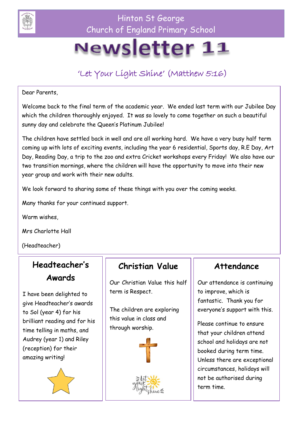

Hinton St George Church of England Primary School

# Newsletter 11

# 'Let Your Light Shine' (Matthew 5:16)

Dear Parents,

Welcome back to the final term of the academic year. We ended last term with our Jubilee Day which the children thoroughly enjoyed. It was so lovely to come together on such a beautiful sunny day and celebrate the Queen's Platinum Jubilee!

The children have settled back in well and are all working hard. We have a very busy half term coming up with lots of exciting events, including the year 6 residential, Sports day, R.E Day, Art Day, Reading Day, a trip to the zoo and extra Cricket workshops every Friday! We also have our two transition mornings, where the children will have the opportunity to move into their new year group and work with their new adults.

We look forward to sharing some of these things with you over the coming weeks.

Many thanks for your continued support.

Warm wishes,

Mrs Charlotte Hall

(Headteacher)

#### **Headteacher's Awards**

I have been delighted to give Headteacher's awards to Sol (year 4) for his brilliant reading and for his time telling in maths, and Audrey (year 1) and Riley (reception) for their amazing writing!



#### **Christian Value**

Our Christian Value this half term is Respect.

The children are exploring this value in class and through worship.



#### **Attendance**

Our attendance is continuing to improve, which is fantastic. Thank you for everyone's support with this.

Please continue to ensure that your children attend school and holidays are not booked during term time. Unless there are exceptional circumstances, holidays will not be authorised during term time.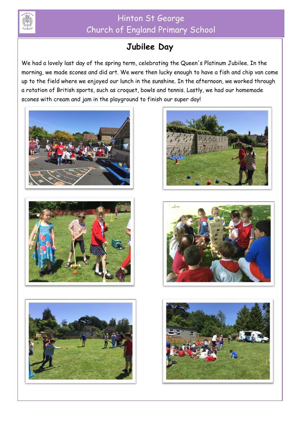

## Hinton St George Church of England Primary School

# **Jubilee Day**

We had a lovely last day of the spring term, celebrating the Queen's Platinum Jubilee. In the morning, we made scones and did art. We were then lucky enough to have a fish and chip van come up to the field where we enjoyed our lunch in the sunshine. In the afternoon, we worked through a rotation of British sports, such as croquet, bowls and tennis. Lastly, we had our homemade scones with cream and jam in the playground to finish our super day!











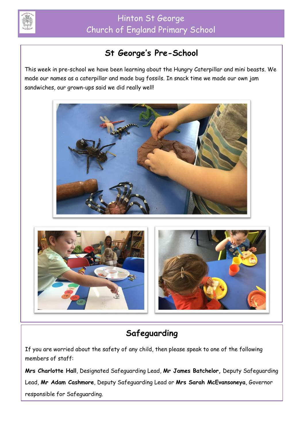

# **St George's Pre-School**

This week in pre-school we have been learning about the Hungry Caterpillar and mini beasts. We made our names as a caterpillar and made bug fossils. In snack time we made our own jam sandwiches, our grown-ups said we did really well!





# **Safeguarding**

If you are worried about the safety of any child, then please speak to one of the following members of staff:

**Mrs Charlotte Hall**, Designated Safeguarding Lead, **Mr James Batchelor,** Deputy Safeguarding Lead, **Mr Adam Cashmore**, Deputy Safeguarding Lead or **Mrs Sarah McEvansoneya**, Governor responsible for Safeguarding.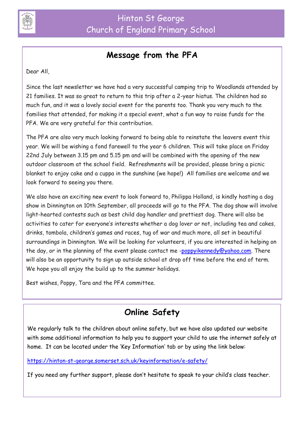

#### **Message from the PFA**

Dear All,

Since the last newsletter we have had a very successful camping trip to Woodlands attended by 21 families. It was so great to return to this trip after a 2-year hiatus. The children had so much fun, and it was a lovely social event for the parents too. Thank you very much to the families that attended, for making it a special event, what a fun way to raise funds for the PFA. We are very grateful for this contribution.

The PFA are also very much looking forward to being able to reinstate the leavers event this year. We will be wishing a fond farewell to the year 6 children. This will take place on Friday 22nd July between 3.15 pm and 5.15 pm and will be combined with the opening of the new outdoor classroom at the school field. Refreshments will be provided, please bring a picnic blanket to enjoy cake and a cuppa in the sunshine (we hope!) All families are welcome and we look forward to seeing you there.

We also have an exciting new event to look forward to, Philippa Holland, is kindly hosting a dog show in Dinnington on 10th September, all proceeds will go to the PFA. The dog show will involve light-hearted contests such as best child dog handler and prettiest dog. There will also be activities to cater for everyone's interests whether a dog lover or not, including tea and cakes, drinks, tombola, children's games and races, tug of war and much more, all set in beautiful surroundings in Dinnington. We will be looking for volunteers, if you are interested in helping on the day, or in the planning of the event please contact me [-poppyikennedy@yahoo.com.](mailto:poppyikennedy@yahoo.com) There will also be an opportunity to sign up outside school at drop off time before the end of term. We hope you all enjoy the build up to the summer holidays.

Best wishes, Poppy, Tara and the PFA committee.

## **Online Safety**

We regularly talk to the children about online safety, but we have also updated our website with some additional information to help you to support your child to use the internet safely at home. It can be located under the 'Key Information' tab or by using the link below:

<https://hinton-st-george.somerset.sch.uk/keyinformation/e-safety/>

If you need any further support, please don't hesitate to speak to your child's class teacher.